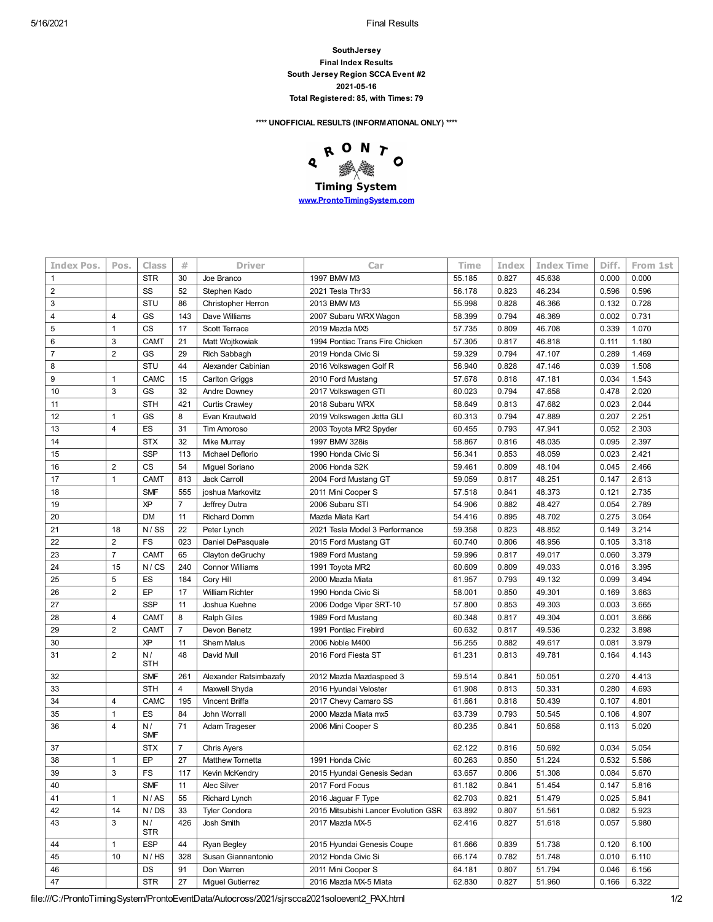5/16/2021 Final Results

**SouthJersey Final Index Results South Jersey Region SCCA Event #2 2021-05-16 Total Registered: 85, with Times: 79**

**\*\*\*\* UNOFFICIAL RESULTS (INFORMATIONAL ONLY) \*\*\*\***

RONTO  $\ddot{\textbf{Q}}$ 骤 **Timing System [www.ProntoTimingSystem.com](http://www.prontotimingsystem.com/)**

| Pos.           | Class                                                        | #                                                                                                                                                         | <b>Driver</b>                                                                                              | Car                                                                                                                                                                                                                               | Time                                                                                                                                                                                                                                                                                       | Index                                                                                                                          | <b>Index Time</b>                                                                                                 | Diff.                                                                                                                                                       | From 1st                                                                                                          |
|----------------|--------------------------------------------------------------|-----------------------------------------------------------------------------------------------------------------------------------------------------------|------------------------------------------------------------------------------------------------------------|-----------------------------------------------------------------------------------------------------------------------------------------------------------------------------------------------------------------------------------|--------------------------------------------------------------------------------------------------------------------------------------------------------------------------------------------------------------------------------------------------------------------------------------------|--------------------------------------------------------------------------------------------------------------------------------|-------------------------------------------------------------------------------------------------------------------|-------------------------------------------------------------------------------------------------------------------------------------------------------------|-------------------------------------------------------------------------------------------------------------------|
|                |                                                              |                                                                                                                                                           |                                                                                                            |                                                                                                                                                                                                                                   |                                                                                                                                                                                                                                                                                            |                                                                                                                                |                                                                                                                   |                                                                                                                                                             |                                                                                                                   |
|                | <b>STR</b>                                                   | 30                                                                                                                                                        | Joe Branco                                                                                                 | 1997 BMW M3                                                                                                                                                                                                                       | 55.185                                                                                                                                                                                                                                                                                     | 0.827                                                                                                                          | 45.638                                                                                                            | 0.000                                                                                                                                                       | 0.000                                                                                                             |
|                | SS                                                           | 52                                                                                                                                                        | Stephen Kado                                                                                               | 2021 Tesla Thr33                                                                                                                                                                                                                  | 56.178                                                                                                                                                                                                                                                                                     | 0.823                                                                                                                          | 46.234                                                                                                            | 0.596                                                                                                                                                       | 0.596                                                                                                             |
|                | STU                                                          | 86                                                                                                                                                        | Christopher Herron                                                                                         | 2013 BMW M3                                                                                                                                                                                                                       | 55.998                                                                                                                                                                                                                                                                                     | 0.828                                                                                                                          | 46.366                                                                                                            | 0.132                                                                                                                                                       | 0.728                                                                                                             |
| $\overline{4}$ | GS                                                           | 143                                                                                                                                                       | Dave Williams                                                                                              | 2007 Subaru WRX Wagon                                                                                                                                                                                                             | 58.399                                                                                                                                                                                                                                                                                     | 0.794                                                                                                                          | 46.369                                                                                                            | 0.002                                                                                                                                                       | 0.731                                                                                                             |
| 1              | CS                                                           | 17                                                                                                                                                        | Scott Terrace                                                                                              | 2019 Mazda MX5                                                                                                                                                                                                                    | 57.735                                                                                                                                                                                                                                                                                     | 0.809                                                                                                                          | 46.708                                                                                                            | 0.339                                                                                                                                                       | 1.070                                                                                                             |
| 3              | <b>CAMT</b>                                                  | 21                                                                                                                                                        | Matt Wojtkowiak                                                                                            | 1994 Pontiac Trans Fire Chicken                                                                                                                                                                                                   | 57.305                                                                                                                                                                                                                                                                                     | 0.817                                                                                                                          | 46.818                                                                                                            | 0.111                                                                                                                                                       | 1.180                                                                                                             |
| $\overline{2}$ | GS                                                           | 29                                                                                                                                                        | Rich Sabbagh                                                                                               | 2019 Honda Civic Si                                                                                                                                                                                                               | 59.329                                                                                                                                                                                                                                                                                     | 0.794                                                                                                                          | 47.107                                                                                                            | 0.289                                                                                                                                                       | 1.469                                                                                                             |
|                | STU                                                          | 44                                                                                                                                                        | Alexander Cabinian                                                                                         | 2016 Volkswagen Golf R                                                                                                                                                                                                            | 56.940                                                                                                                                                                                                                                                                                     | 0.828                                                                                                                          | 47.146                                                                                                            | 0.039                                                                                                                                                       | 1.508                                                                                                             |
| 1              | CAMC                                                         | 15                                                                                                                                                        | <b>Carlton Griggs</b>                                                                                      | 2010 Ford Mustang                                                                                                                                                                                                                 | 57.678                                                                                                                                                                                                                                                                                     | 0.818                                                                                                                          | 47.181                                                                                                            | 0.034                                                                                                                                                       | 1.543                                                                                                             |
| 3              | GS                                                           | 32                                                                                                                                                        | Andre Downey                                                                                               | 2017 Volkswagen GTI                                                                                                                                                                                                               | 60.023                                                                                                                                                                                                                                                                                     | 0.794                                                                                                                          | 47.658                                                                                                            | 0.478                                                                                                                                                       | 2.020                                                                                                             |
|                | <b>STH</b>                                                   | 421                                                                                                                                                       | <b>Curtis Crawley</b>                                                                                      | 2018 Subaru WRX                                                                                                                                                                                                                   | 58.649                                                                                                                                                                                                                                                                                     | 0.813                                                                                                                          | 47.682                                                                                                            | 0.023                                                                                                                                                       | 2.044                                                                                                             |
| 1              | GS                                                           | 8                                                                                                                                                         | Evan Krautwald                                                                                             | 2019 Volkswagen Jetta GLI                                                                                                                                                                                                         | 60.313                                                                                                                                                                                                                                                                                     | 0.794                                                                                                                          | 47.889                                                                                                            | 0.207                                                                                                                                                       | 2.251                                                                                                             |
| 4              | ES                                                           | 31                                                                                                                                                        | <b>Tim Amoroso</b>                                                                                         | 2003 Toyota MR2 Spyder                                                                                                                                                                                                            | 60.455                                                                                                                                                                                                                                                                                     | 0.793                                                                                                                          | 47.941                                                                                                            | 0.052                                                                                                                                                       | 2.303                                                                                                             |
|                | <b>STX</b>                                                   | 32                                                                                                                                                        | Mike Murray                                                                                                | 1997 BMW 328is                                                                                                                                                                                                                    | 58.867                                                                                                                                                                                                                                                                                     | 0.816                                                                                                                          | 48.035                                                                                                            | 0.095                                                                                                                                                       | 2.397                                                                                                             |
|                | <b>SSP</b>                                                   | 113                                                                                                                                                       | Michael Deflorio                                                                                           | 1990 Honda Civic Si                                                                                                                                                                                                               | 56.341                                                                                                                                                                                                                                                                                     | 0.853                                                                                                                          | 48.059                                                                                                            | 0.023                                                                                                                                                       | 2.421                                                                                                             |
| $\overline{2}$ | CS                                                           | 54                                                                                                                                                        | Miguel Soriano                                                                                             | 2006 Honda S2K                                                                                                                                                                                                                    | 59.461                                                                                                                                                                                                                                                                                     | 0.809                                                                                                                          | 48.104                                                                                                            | 0.045                                                                                                                                                       | 2.466                                                                                                             |
| $\mathbf{1}$   | <b>CAMT</b>                                                  | 813                                                                                                                                                       | Jack Carroll                                                                                               | 2004 Ford Mustang GT                                                                                                                                                                                                              | 59.059                                                                                                                                                                                                                                                                                     | 0.817                                                                                                                          | 48.251                                                                                                            | 0.147                                                                                                                                                       | 2.613                                                                                                             |
|                | <b>SMF</b>                                                   | 555                                                                                                                                                       | joshua Markovitz                                                                                           | 2011 Mini Cooper S                                                                                                                                                                                                                | 57.518                                                                                                                                                                                                                                                                                     | 0.841                                                                                                                          | 48.373                                                                                                            | 0.121                                                                                                                                                       | 2.735                                                                                                             |
|                | ΧP                                                           | $\overline{7}$                                                                                                                                            | Jeffrey Dutra                                                                                              | 2006 Subaru STI                                                                                                                                                                                                                   | 54.906                                                                                                                                                                                                                                                                                     | 0.882                                                                                                                          | 48.427                                                                                                            | 0.054                                                                                                                                                       | 2.789                                                                                                             |
|                | <b>DM</b>                                                    | 11                                                                                                                                                        | <b>Richard Domm</b>                                                                                        | Mazda Miata Kart                                                                                                                                                                                                                  | 54.416                                                                                                                                                                                                                                                                                     | 0.895                                                                                                                          | 48.702                                                                                                            | 0.275                                                                                                                                                       | 3.064                                                                                                             |
| 18             | N / SS                                                       | 22                                                                                                                                                        | Peter Lynch                                                                                                | 2021 Tesla Model 3 Performance                                                                                                                                                                                                    | 59.358                                                                                                                                                                                                                                                                                     | 0.823                                                                                                                          | 48.852                                                                                                            | 0.149                                                                                                                                                       | 3.214                                                                                                             |
| $\overline{2}$ | FS                                                           | 023                                                                                                                                                       | Daniel DePasquale                                                                                          | 2015 Ford Mustang GT                                                                                                                                                                                                              | 60.740                                                                                                                                                                                                                                                                                     | 0.806                                                                                                                          | 48.956                                                                                                            | 0.105                                                                                                                                                       | 3.318                                                                                                             |
| $\overline{7}$ | <b>CAMT</b>                                                  | 65                                                                                                                                                        | Clayton deGruchy                                                                                           | 1989 Ford Mustang                                                                                                                                                                                                                 | 59.996                                                                                                                                                                                                                                                                                     | 0.817                                                                                                                          | 49.017                                                                                                            | 0.060                                                                                                                                                       | 3.379                                                                                                             |
| 15             | N / CS                                                       | 240                                                                                                                                                       | <b>Connor Williams</b>                                                                                     | 1991 Toyota MR2                                                                                                                                                                                                                   | 60.609                                                                                                                                                                                                                                                                                     | 0.809                                                                                                                          | 49.033                                                                                                            | 0.016                                                                                                                                                       | 3.395                                                                                                             |
| 5              | ES                                                           | 184                                                                                                                                                       | Cory Hill                                                                                                  | 2000 Mazda Miata                                                                                                                                                                                                                  | 61.957                                                                                                                                                                                                                                                                                     | 0.793                                                                                                                          | 49.132                                                                                                            | 0.099                                                                                                                                                       | 3.494                                                                                                             |
| $\overline{2}$ | EP                                                           | 17                                                                                                                                                        | <b>William Richter</b>                                                                                     | 1990 Honda Civic Si                                                                                                                                                                                                               | 58.001                                                                                                                                                                                                                                                                                     | 0.850                                                                                                                          | 49.301                                                                                                            | 0.169                                                                                                                                                       | 3.663                                                                                                             |
|                | <b>SSP</b>                                                   | 11                                                                                                                                                        | Joshua Kuehne                                                                                              | 2006 Dodge Viper SRT-10                                                                                                                                                                                                           | 57.800                                                                                                                                                                                                                                                                                     | 0.853                                                                                                                          | 49.303                                                                                                            | 0.003                                                                                                                                                       | 3.665                                                                                                             |
| 4              | <b>CAMT</b>                                                  | 8                                                                                                                                                         | <b>Ralph Giles</b>                                                                                         | 1989 Ford Mustang                                                                                                                                                                                                                 | 60.348                                                                                                                                                                                                                                                                                     | 0.817                                                                                                                          | 49.304                                                                                                            | 0.001                                                                                                                                                       | 3.666                                                                                                             |
| $\overline{2}$ | <b>CAMT</b>                                                  | $\overline{7}$                                                                                                                                            | Devon Benetz                                                                                               | 1991 Pontiac Firebird                                                                                                                                                                                                             | 60.632                                                                                                                                                                                                                                                                                     | 0.817                                                                                                                          | 49.536                                                                                                            | 0.232                                                                                                                                                       | 3.898                                                                                                             |
|                | ΧP                                                           | 11                                                                                                                                                        | <b>Shem Malus</b>                                                                                          | 2006 Noble M400                                                                                                                                                                                                                   | 56.255                                                                                                                                                                                                                                                                                     | 0.882                                                                                                                          | 49.617                                                                                                            | 0.081                                                                                                                                                       | 3.979                                                                                                             |
| $\overline{2}$ | N/                                                           | 48                                                                                                                                                        | David Mull                                                                                                 | 2016 Ford Fiesta ST                                                                                                                                                                                                               | 61.231                                                                                                                                                                                                                                                                                     | 0.813                                                                                                                          | 49.781                                                                                                            | 0.164                                                                                                                                                       | 4.143                                                                                                             |
|                |                                                              |                                                                                                                                                           |                                                                                                            |                                                                                                                                                                                                                                   |                                                                                                                                                                                                                                                                                            |                                                                                                                                |                                                                                                                   |                                                                                                                                                             | 4.413                                                                                                             |
|                |                                                              |                                                                                                                                                           |                                                                                                            |                                                                                                                                                                                                                                   |                                                                                                                                                                                                                                                                                            |                                                                                                                                |                                                                                                                   |                                                                                                                                                             | 4.693                                                                                                             |
|                |                                                              |                                                                                                                                                           |                                                                                                            |                                                                                                                                                                                                                                   |                                                                                                                                                                                                                                                                                            |                                                                                                                                |                                                                                                                   |                                                                                                                                                             | 4.801                                                                                                             |
|                |                                                              |                                                                                                                                                           |                                                                                                            |                                                                                                                                                                                                                                   |                                                                                                                                                                                                                                                                                            |                                                                                                                                |                                                                                                                   |                                                                                                                                                             | 4.907                                                                                                             |
| 4              | N/<br><b>SMF</b>                                             | 71                                                                                                                                                        | Adam Trageser                                                                                              | 2006 Mini Cooper S                                                                                                                                                                                                                | 60.235                                                                                                                                                                                                                                                                                     | 0.841                                                                                                                          | 50.658                                                                                                            | 0.113                                                                                                                                                       | 5.020                                                                                                             |
|                | <b>STX</b>                                                   | $\overline{7}$                                                                                                                                            | <b>Chris Ayers</b>                                                                                         |                                                                                                                                                                                                                                   |                                                                                                                                                                                                                                                                                            |                                                                                                                                |                                                                                                                   |                                                                                                                                                             | 5.054                                                                                                             |
|                |                                                              |                                                                                                                                                           |                                                                                                            | 1991 Honda Civic                                                                                                                                                                                                                  |                                                                                                                                                                                                                                                                                            |                                                                                                                                |                                                                                                                   |                                                                                                                                                             | 5.586                                                                                                             |
|                |                                                              |                                                                                                                                                           |                                                                                                            |                                                                                                                                                                                                                                   |                                                                                                                                                                                                                                                                                            |                                                                                                                                |                                                                                                                   |                                                                                                                                                             | 5.670                                                                                                             |
|                |                                                              |                                                                                                                                                           |                                                                                                            |                                                                                                                                                                                                                                   |                                                                                                                                                                                                                                                                                            |                                                                                                                                |                                                                                                                   |                                                                                                                                                             | 5.816                                                                                                             |
|                |                                                              |                                                                                                                                                           |                                                                                                            |                                                                                                                                                                                                                                   |                                                                                                                                                                                                                                                                                            |                                                                                                                                |                                                                                                                   |                                                                                                                                                             | 5.841                                                                                                             |
|                |                                                              |                                                                                                                                                           |                                                                                                            |                                                                                                                                                                                                                                   |                                                                                                                                                                                                                                                                                            |                                                                                                                                |                                                                                                                   |                                                                                                                                                             | 5.923                                                                                                             |
| 3              | N/                                                           | 426                                                                                                                                                       | Josh Smith                                                                                                 | 2017 Mazda MX-5                                                                                                                                                                                                                   | 62.416                                                                                                                                                                                                                                                                                     | 0.827                                                                                                                          | 51.618                                                                                                            | 0.057                                                                                                                                                       | 5.980                                                                                                             |
|                |                                                              |                                                                                                                                                           |                                                                                                            |                                                                                                                                                                                                                                   |                                                                                                                                                                                                                                                                                            |                                                                                                                                |                                                                                                                   |                                                                                                                                                             | 6.100                                                                                                             |
|                |                                                              |                                                                                                                                                           |                                                                                                            |                                                                                                                                                                                                                                   |                                                                                                                                                                                                                                                                                            |                                                                                                                                |                                                                                                                   |                                                                                                                                                             | 6.110                                                                                                             |
|                |                                                              |                                                                                                                                                           |                                                                                                            |                                                                                                                                                                                                                                   |                                                                                                                                                                                                                                                                                            |                                                                                                                                |                                                                                                                   |                                                                                                                                                             | 6.156                                                                                                             |
|                |                                                              |                                                                                                                                                           | <b>Miguel Gutierrez</b>                                                                                    | 2016 Mazda MX-5 Miata                                                                                                                                                                                                             |                                                                                                                                                                                                                                                                                            |                                                                                                                                |                                                                                                                   | 0.166                                                                                                                                                       | 6.322                                                                                                             |
|                | 4<br>1<br>1<br>3<br>$\mathbf{1}$<br>14<br>$\mathbf{1}$<br>10 | <b>STH</b><br><b>SMF</b><br><b>STH</b><br>CAMC<br>ES<br>EP<br>$\mathop{\sf FS}\nolimits$<br><b>SMF</b><br>N/AS<br>N/DS<br>STR<br><b>ESP</b><br>N/HS<br>DS | 261<br>$\overline{4}$<br>195<br>84<br>27<br>$117$<br>11<br>55<br>33<br>44<br>328<br>91<br><b>STR</b><br>27 | Alexander Ratsimbazafy<br>Maxwell Shyda<br>Vincent Briffa<br>John Worrall<br><b>Matthew Tornetta</b><br>Kevin McKendry<br>Alec Silver<br>Richard Lynch<br><b>Tyler Condora</b><br>Ryan Begley<br>Susan Giannantonio<br>Don Warren | 2012 Mazda Mazdaspeed 3<br>2016 Hyundai Veloster<br>2017 Chevy Camaro SS<br>2000 Mazda Miata mx5<br>2015 Hyundai Genesis Sedan<br>2017 Ford Focus<br>2016 Jaguar F Type<br>2015 Mitsubishi Lancer Evolution GSR<br>2015 Hyundai Genesis Coupe<br>2012 Honda Civic Si<br>2011 Mini Cooper S | 59.514<br>61.908<br>61.661<br>63.739<br>62.122<br>60.263<br>63.657<br>61.182<br>62.703<br>63.892<br>61.666<br>66.174<br>64.181 | 0.841<br>0.813<br>0.818<br>0.793<br>0.816<br>0.850<br>0.806<br>0.841<br>0.821<br>0.807<br>0.839<br>0.782<br>0.807 | 50.051<br>50.331<br>50.439<br>50.545<br>50.692<br>51.224<br>51.308<br>51.454<br>51.479<br>51.561<br>51.738<br>51.748<br>51.794<br>62.830<br>0.827<br>51.960 | 0.270<br>0.280<br>0.107<br>0.106<br>0.034<br>0.532<br>0.084<br>0.147<br>0.025<br>0.082<br>0.120<br>0.010<br>0.046 |

file:///C:/ProntoTimingSystem/ProntoEventData/Autocross/2021/sjrscca2021soloevent2\_PAX.html 1/2